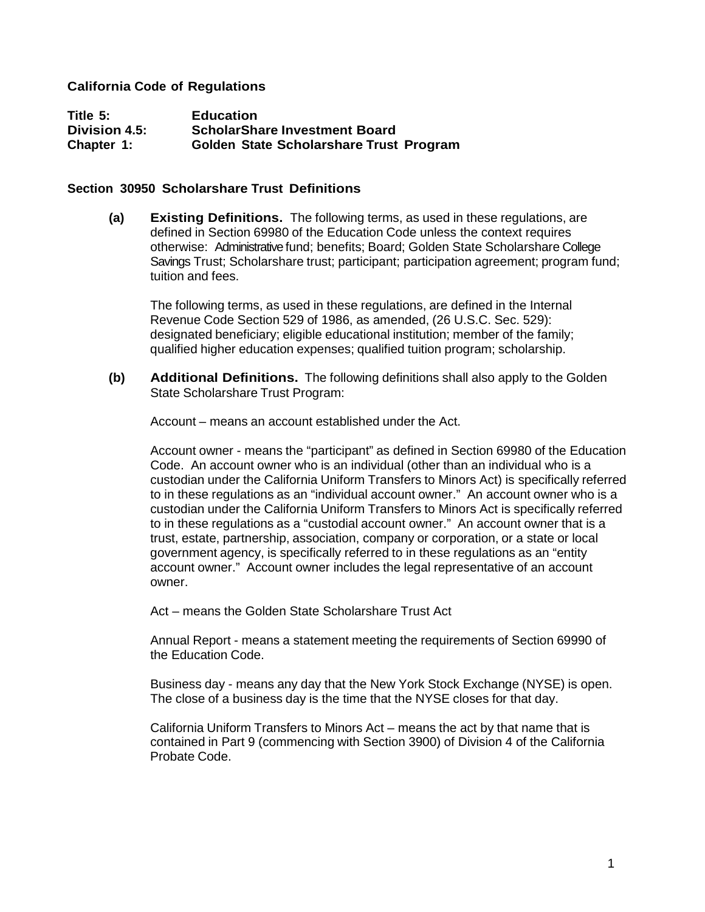## **California Code of Regulations**

**Title 5: Education Division 4.5: ScholarShare Investment Board Chapter 1: Golden State Scholarshare Trust Program**

#### **Section 30950 Scholarshare Trust Definitions**

**(a) Existing Definitions.** The following terms, as used in these regulations, are defined in Section 69980 of the Education Code unless the context requires otherwise: Administrative fund; benefits; Board; Golden State Scholarshare College Savings Trust; Scholarshare trust; participant; participation agreement; program fund; tuition and fees.

The following terms, as used in these regulations, are defined in the Internal Revenue Code Section 529 of 1986, as amended, (26 U.S.C. Sec. 529): designated beneficiary; eligible educational institution; member of the family; qualified higher education expenses; qualified tuition program; scholarship.

**(b) Additional Definitions.** The following definitions shall also apply to the Golden State Scholarshare Trust Program:

Account – means an account established under the Act.

Account owner - means the "participant" as defined in Section 69980 of the Education Code. An account owner who is an individual (other than an individual who is a custodian under the California Uniform Transfers to Minors Act) is specifically referred to in these regulations as an "individual account owner." An account owner who is a custodian under the California Uniform Transfers to Minors Act is specifically referred to in these regulations as a "custodial account owner." An account owner that is a trust, estate, partnership, association, company or corporation, or a state or local government agency, is specifically referred to in these regulations as an "entity account owner." Account owner includes the legal representative of an account owner.

Act – means the Golden State Scholarshare Trust Act

Annual Report - means a statement meeting the requirements of Section 69990 of the Education Code.

Business day - means any day that the New York Stock Exchange (NYSE) is open. The close of a business day is the time that the NYSE closes for that day.

California Uniform Transfers to Minors Act – means the act by that name that is contained in Part 9 (commencing with Section 3900) of Division 4 of the California Probate Code.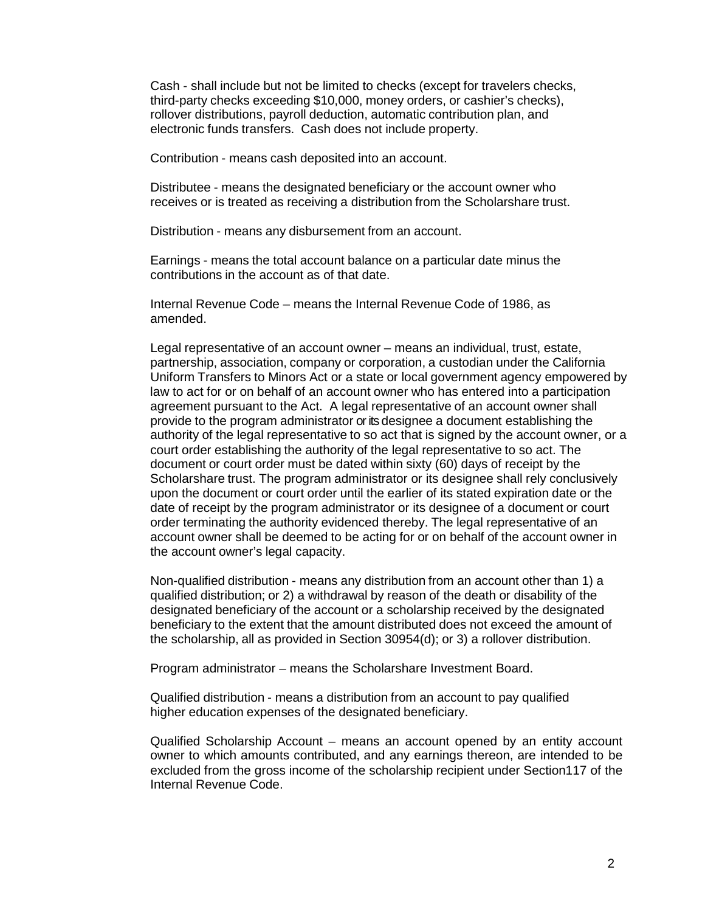Cash - shall include but not be limited to checks (except for travelers checks, third-party checks exceeding \$10,000, money orders, or cashier's checks), rollover distributions, payroll deduction, automatic contribution plan, and electronic funds transfers. Cash does not include property.

Contribution - means cash deposited into an account.

Distributee - means the designated beneficiary or the account owner who receives or is treated as receiving a distribution from the Scholarshare trust.

Distribution - means any disbursement from an account.

Earnings - means the total account balance on a particular date minus the contributions in the account as of that date.

Internal Revenue Code – means the Internal Revenue Code of 1986, as amended.

Legal representative of an account owner – means an individual, trust, estate, partnership, association, company or corporation, a custodian under the California Uniform Transfers to Minors Act or a state or local government agency empowered by law to act for or on behalf of an account owner who has entered into a participation agreement pursuant to the Act. A legal representative of an account owner shall provide to the program administrator or its designee a document establishing the authority of the legal representative to so act that is signed by the account owner, or a court order establishing the authority of the legal representative to so act. The document or court order must be dated within sixty (60) days of receipt by the Scholarshare trust. The program administrator or its designee shall rely conclusively upon the document or court order until the earlier of its stated expiration date or the date of receipt by the program administrator or its designee of a document or court order terminating the authority evidenced thereby. The legal representative of an account owner shall be deemed to be acting for or on behalf of the account owner in the account owner's legal capacity.

Non-qualified distribution - means any distribution from an account other than 1) a qualified distribution; or 2) a withdrawal by reason of the death or disability of the designated beneficiary of the account or a scholarship received by the designated beneficiary to the extent that the amount distributed does not exceed the amount of the scholarship, all as provided in Section 30954(d); or 3) a rollover distribution.

Program administrator – means the Scholarshare Investment Board.

Qualified distribution - means a distribution from an account to pay qualified higher education expenses of the designated beneficiary.

Qualified Scholarship Account – means an account opened by an entity account owner to which amounts contributed, and any earnings thereon, are intended to be excluded from the gross income of the scholarship recipient under Section117 of the Internal Revenue Code.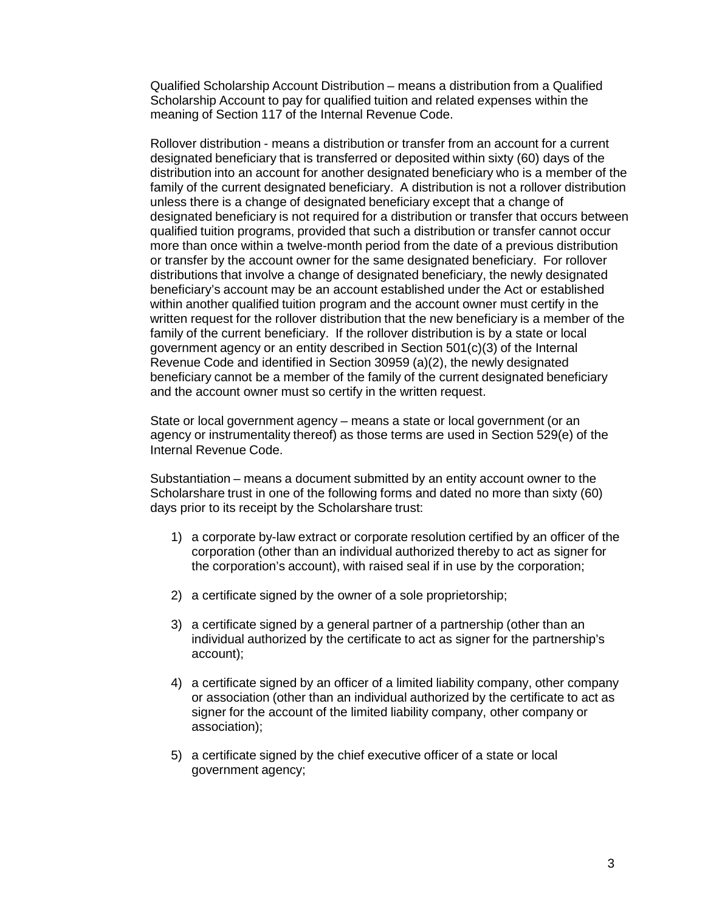Qualified Scholarship Account Distribution – means a distribution from a Qualified Scholarship Account to pay for qualified tuition and related expenses within the meaning of Section 117 of the Internal Revenue Code.

Rollover distribution - means a distribution or transfer from an account for a current designated beneficiary that is transferred or deposited within sixty (60) days of the distribution into an account for another designated beneficiary who is a member of the family of the current designated beneficiary. A distribution is not a rollover distribution unless there is a change of designated beneficiary except that a change of designated beneficiary is not required for a distribution or transfer that occurs between qualified tuition programs, provided that such a distribution or transfer cannot occur more than once within a twelve-month period from the date of a previous distribution or transfer by the account owner for the same designated beneficiary. For rollover distributions that involve a change of designated beneficiary, the newly designated beneficiary's account may be an account established under the Act or established within another qualified tuition program and the account owner must certify in the written request for the rollover distribution that the new beneficiary is a member of the family of the current beneficiary. If the rollover distribution is by a state or local government agency or an entity described in Section 501(c)(3) of the Internal Revenue Code and identified in Section 30959 (a)(2), the newly designated beneficiary cannot be a member of the family of the current designated beneficiary and the account owner must so certify in the written request.

State or local government agency – means a state or local government (or an agency or instrumentality thereof) as those terms are used in Section 529(e) of the Internal Revenue Code.

Substantiation – means a document submitted by an entity account owner to the Scholarshare trust in one of the following forms and dated no more than sixty (60) days prior to its receipt by the Scholarshare trust:

- 1) a corporate by-law extract or corporate resolution certified by an officer of the corporation (other than an individual authorized thereby to act as signer for the corporation's account), with raised seal if in use by the corporation;
- 2) a certificate signed by the owner of a sole proprietorship;
- 3) a certificate signed by a general partner of a partnership (other than an individual authorized by the certificate to act as signer for the partnership's account);
- 4) a certificate signed by an officer of a limited liability company, other company or association (other than an individual authorized by the certificate to act as signer for the account of the limited liability company, other company or association);
- 5) a certificate signed by the chief executive officer of a state or local government agency;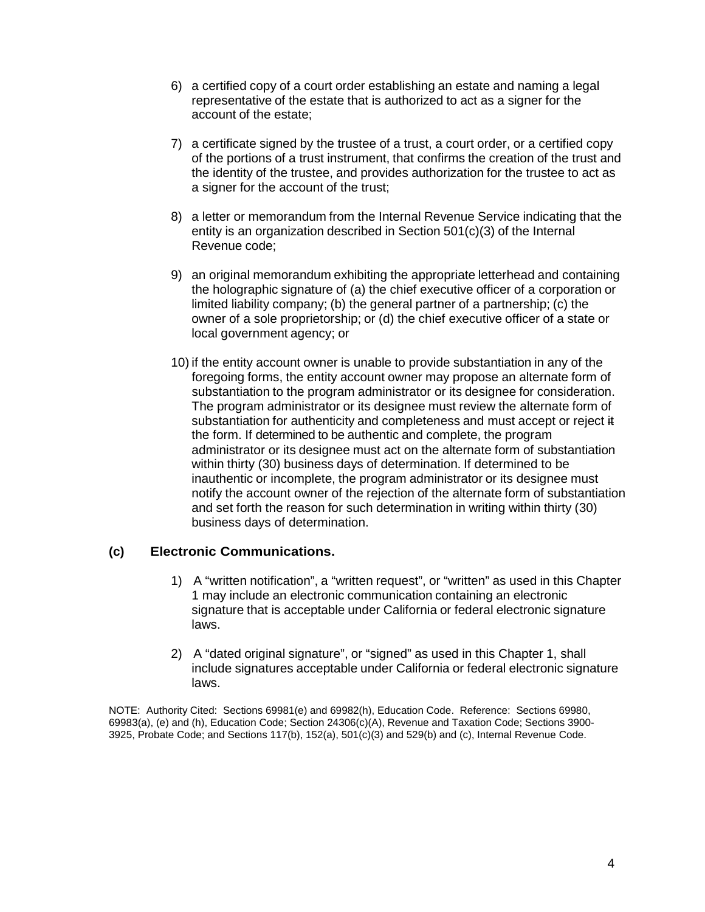- 6) a certified copy of a court order establishing an estate and naming a legal representative of the estate that is authorized to act as a signer for the account of the estate;
- 7) a certificate signed by the trustee of a trust, a court order, or a certified copy of the portions of a trust instrument, that confirms the creation of the trust and the identity of the trustee, and provides authorization for the trustee to act as a signer for the account of the trust;
- 8) a letter or memorandum from the Internal Revenue Service indicating that the entity is an organization described in Section 501(c)(3) of the Internal Revenue code;
- 9) an original memorandum exhibiting the appropriate letterhead and containing the holographic signature of (a) the chief executive officer of a corporation or limited liability company; (b) the general partner of a partnership; (c) the owner of a sole proprietorship; or (d) the chief executive officer of a state or local government agency; or
- 10) if the entity account owner is unable to provide substantiation in any of the foregoing forms, the entity account owner may propose an alternate form of substantiation to the program administrator or its designee for consideration. The program administrator or its designee must review the alternate form of substantiation for authenticity and completeness and must accept or reject it the form. If determined to be authentic and complete, the program administrator or its designee must act on the alternate form of substantiation within thirty (30) business days of determination. If determined to be inauthentic or incomplete, the program administrator or its designee must notify the account owner of the rejection of the alternate form of substantiation and set forth the reason for such determination in writing within thirty (30) business days of determination.

## **(c) Electronic Communications.**

- 1) A "written notification", a "written request", or "written" as used in this Chapter 1 may include an electronic communication containing an electronic signature that is acceptable under California or federal electronic signature laws.
- 2) A "dated original signature", or "signed" as used in this Chapter 1, shall include signatures acceptable under California or federal electronic signature laws.

NOTE: Authority Cited: Sections 69981(e) and 69982(h), Education Code. Reference: Sections 69980, 69983(a), (e) and (h), Education Code; Section 24306(c)(A), Revenue and Taxation Code; Sections 3900- 3925, Probate Code; and Sections 117(b), 152(a), 501(c)(3) and 529(b) and (c), Internal Revenue Code.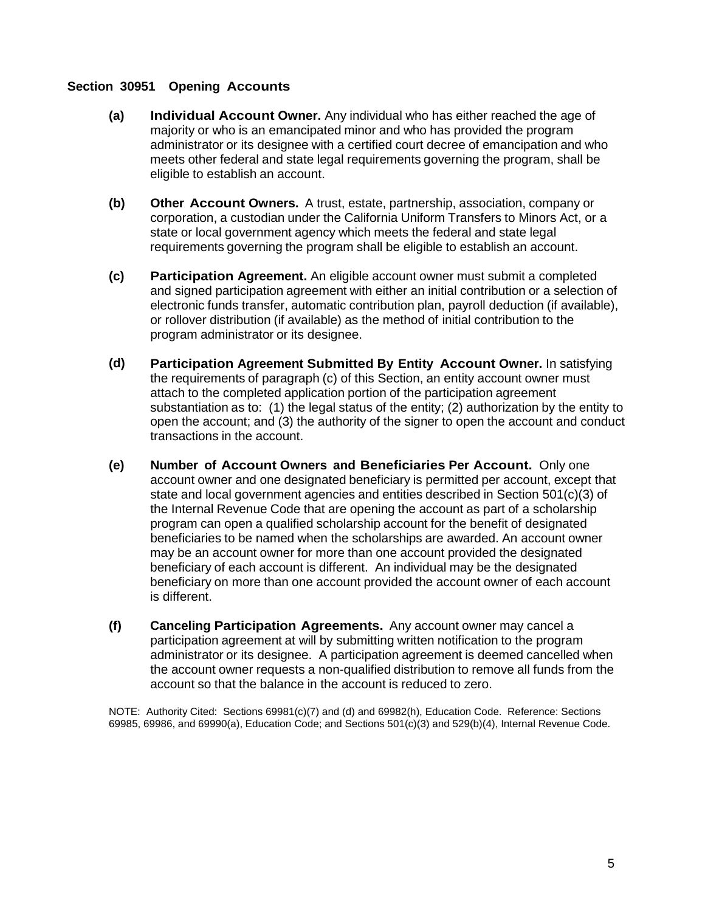### **Section 30951 Opening Accounts**

- **(a) Individual Account Owner.** Any individual who has either reached the age of majority or who is an emancipated minor and who has provided the program administrator or its designee with a certified court decree of emancipation and who meets other federal and state legal requirements governing the program, shall be eligible to establish an account.
- **(b) Other Account Owners.** A trust, estate, partnership, association, company or corporation, a custodian under the California Uniform Transfers to Minors Act, or a state or local government agency which meets the federal and state legal requirements governing the program shall be eligible to establish an account.
- **(c) Participation Agreement.** An eligible account owner must submit a completed and signed participation agreement with either an initial contribution or a selection of electronic funds transfer, automatic contribution plan, payroll deduction (if available), or rollover distribution (if available) as the method of initial contribution to the program administrator or its designee.
- **(d) Participation Agreement Submitted By Entity Account Owner.** In satisfying the requirements of paragraph (c) of this Section, an entity account owner must attach to the completed application portion of the participation agreement substantiation as to: (1) the legal status of the entity; (2) authorization by the entity to open the account; and (3) the authority of the signer to open the account and conduct transactions in the account.
- **(e) Number of Account Owners and Beneficiaries Per Account.** Only one account owner and one designated beneficiary is permitted per account, except that state and local government agencies and entities described in Section 501(c)(3) of the Internal Revenue Code that are opening the account as part of a scholarship program can open a qualified scholarship account for the benefit of designated beneficiaries to be named when the scholarships are awarded. An account owner may be an account owner for more than one account provided the designated beneficiary of each account is different. An individual may be the designated beneficiary on more than one account provided the account owner of each account is different.
- **(f) Canceling Participation Agreements.** Any account owner may cancel a participation agreement at will by submitting written notification to the program administrator or its designee. A participation agreement is deemed cancelled when the account owner requests a non-qualified distribution to remove all funds from the account so that the balance in the account is reduced to zero.

NOTE: Authority Cited: Sections 69981(c)(7) and (d) and 69982(h), Education Code. Reference: Sections 69985, 69986, and 69990(a), Education Code; and Sections 501(c)(3) and 529(b)(4), Internal Revenue Code.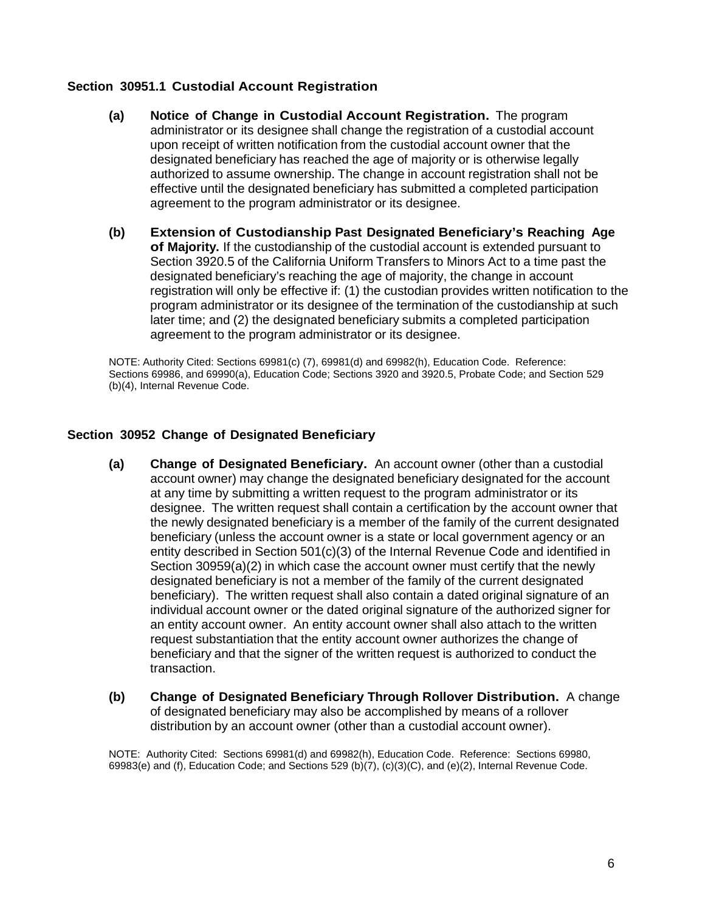# **Section 30951.1 Custodial Account Registration**

- **(a) Notice of Change in Custodial Account Registration.** The program administrator or its designee shall change the registration of a custodial account upon receipt of written notification from the custodial account owner that the designated beneficiary has reached the age of majority or is otherwise legally authorized to assume ownership. The change in account registration shall not be effective until the designated beneficiary has submitted a completed participation agreement to the program administrator or its designee.
- **(b) Extension of Custodianship Past Designated Beneficiary's Reaching Age of Majority.** If the custodianship of the custodial account is extended pursuant to Section 3920.5 of the California Uniform Transfers to Minors Act to a time past the designated beneficiary's reaching the age of majority, the change in account registration will only be effective if: (1) the custodian provides written notification to the program administrator or its designee of the termination of the custodianship at such later time; and (2) the designated beneficiary submits a completed participation agreement to the program administrator or its designee.

NOTE: Authority Cited: Sections 69981(c) (7), 69981(d) and 69982(h), Education Code. Reference: Sections 69986, and 69990(a), Education Code; Sections 3920 and 3920.5, Probate Code; and Section 529 (b)(4), Internal Revenue Code.

## **Section 30952 Change of Designated Beneficiary**

- **(a) Change of Designated Beneficiary.** An account owner (other than a custodial account owner) may change the designated beneficiary designated for the account at any time by submitting a written request to the program administrator or its designee. The written request shall contain a certification by the account owner that the newly designated beneficiary is a member of the family of the current designated beneficiary (unless the account owner is a state or local government agency or an entity described in Section 501(c)(3) of the Internal Revenue Code and identified in Section 30959(a)(2) in which case the account owner must certify that the newly designated beneficiary is not a member of the family of the current designated beneficiary). The written request shall also contain a dated original signature of an individual account owner or the dated original signature of the authorized signer for an entity account owner. An entity account owner shall also attach to the written request substantiation that the entity account owner authorizes the change of beneficiary and that the signer of the written request is authorized to conduct the transaction.
- **(b) Change of Designated Beneficiary Through Rollover Distribution.** A change of designated beneficiary may also be accomplished by means of a rollover distribution by an account owner (other than a custodial account owner).

NOTE: Authority Cited: Sections 69981(d) and 69982(h), Education Code. Reference: Sections 69980, 69983(e) and (f), Education Code; and Sections 529 (b)(7), (c)(3)(C), and (e)(2), Internal Revenue Code.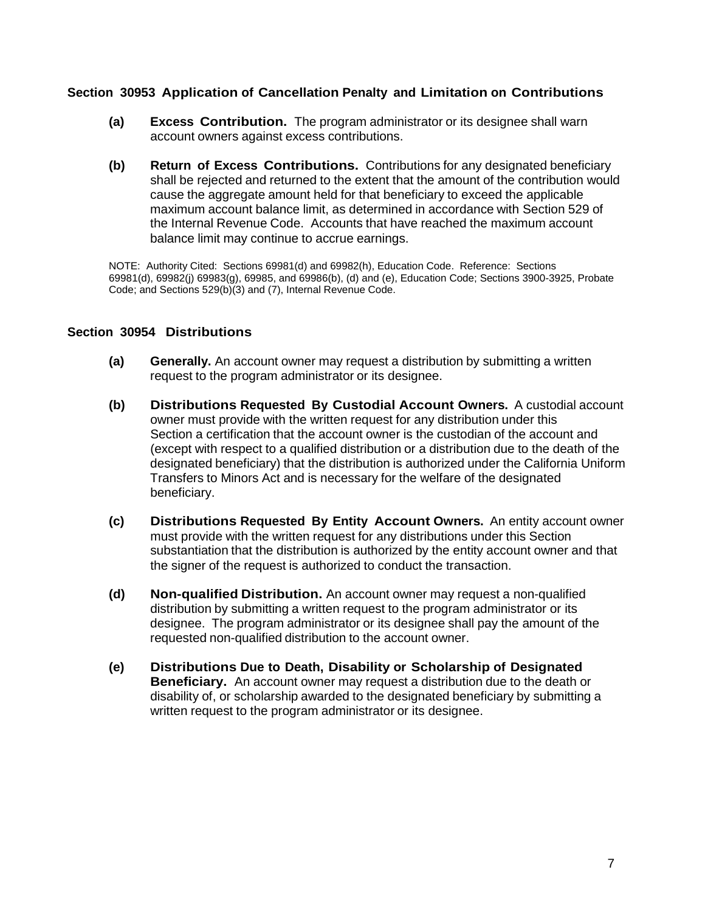## **Section 30953 Application of Cancellation Penalty and Limitation on Contributions**

- **(a) Excess Contribution.** The program administrator or its designee shall warn account owners against excess contributions.
- **(b) Return of Excess Contributions.** Contributions for any designated beneficiary shall be rejected and returned to the extent that the amount of the contribution would cause the aggregate amount held for that beneficiary to exceed the applicable maximum account balance limit, as determined in accordance with Section 529 of the Internal Revenue Code. Accounts that have reached the maximum account balance limit may continue to accrue earnings.

NOTE: Authority Cited: Sections 69981(d) and 69982(h), Education Code. Reference: Sections 69981(d), 69982(j) 69983(g), 69985, and 69986(b), (d) and (e), Education Code; Sections 3900-3925, Probate Code; and Sections 529(b)(3) and (7), Internal Revenue Code.

### **Section 30954 Distributions**

- **(a) Generally.** An account owner may request a distribution by submitting a written request to the program administrator or its designee.
- **(b) Distributions Requested By Custodial Account Owners.** A custodial account owner must provide with the written request for any distribution under this Section a certification that the account owner is the custodian of the account and (except with respect to a qualified distribution or a distribution due to the death of the designated beneficiary) that the distribution is authorized under the California Uniform Transfers to Minors Act and is necessary for the welfare of the designated beneficiary.
- **(c) Distributions Requested By Entity Account Owners.** An entity account owner must provide with the written request for any distributions under this Section substantiation that the distribution is authorized by the entity account owner and that the signer of the request is authorized to conduct the transaction.
- **(d) Non-qualified Distribution.** An account owner may request a non-qualified distribution by submitting a written request to the program administrator or its designee. The program administrator or its designee shall pay the amount of the requested non-qualified distribution to the account owner.
- **(e) Distributions Due to Death, Disability or Scholarship of Designated Beneficiary.** An account owner may request a distribution due to the death or disability of, or scholarship awarded to the designated beneficiary by submitting a written request to the program administrator or its designee.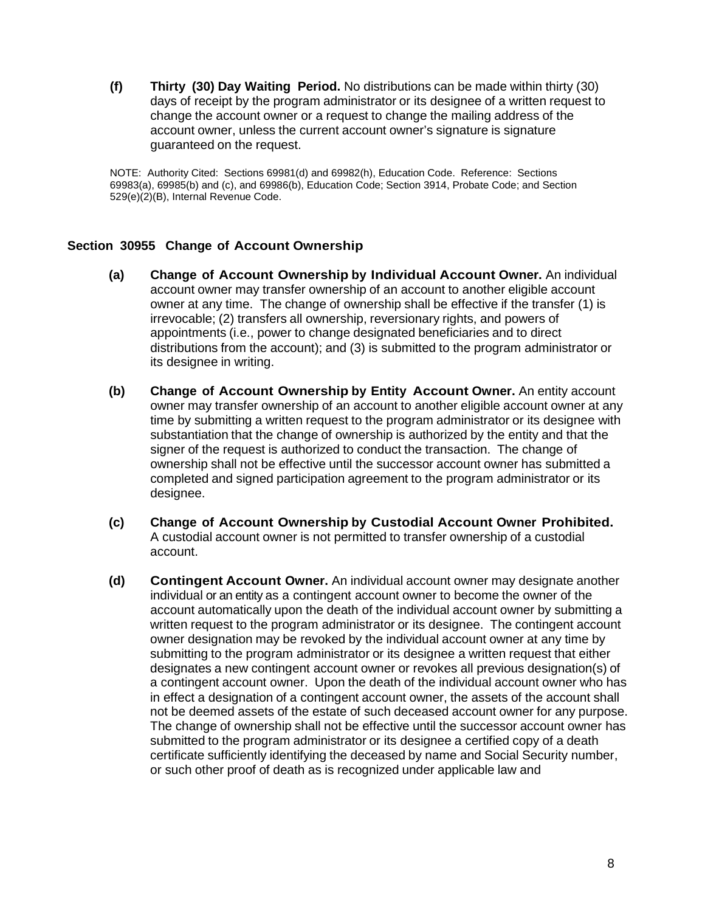**(f) Thirty (30) Day Waiting Period.** No distributions can be made within thirty (30) days of receipt by the program administrator or its designee of a written request to change the account owner or a request to change the mailing address of the account owner, unless the current account owner's signature is signature guaranteed on the request.

NOTE: Authority Cited: Sections 69981(d) and 69982(h), Education Code. Reference: Sections 69983(a), 69985(b) and (c), and 69986(b), Education Code; Section 3914, Probate Code; and Section 529(e)(2)(B), Internal Revenue Code.

# **Section 30955 Change of Account Ownership**

- **(a) Change of Account Ownership by Individual Account Owner.** An individual account owner may transfer ownership of an account to another eligible account owner at any time. The change of ownership shall be effective if the transfer (1) is irrevocable; (2) transfers all ownership, reversionary rights, and powers of appointments (i.e., power to change designated beneficiaries and to direct distributions from the account); and (3) is submitted to the program administrator or its designee in writing.
- **(b) Change of Account Ownership by Entity Account Owner.** An entity account owner may transfer ownership of an account to another eligible account owner at any time by submitting a written request to the program administrator or its designee with substantiation that the change of ownership is authorized by the entity and that the signer of the request is authorized to conduct the transaction. The change of ownership shall not be effective until the successor account owner has submitted a completed and signed participation agreement to the program administrator or its designee.
- **(c) Change of Account Ownership by Custodial Account Owner Prohibited.** A custodial account owner is not permitted to transfer ownership of a custodial account.
- **(d) Contingent Account Owner.** An individual account owner may designate another individual or an entity as a contingent account owner to become the owner of the account automatically upon the death of the individual account owner by submitting a written request to the program administrator or its designee. The contingent account owner designation may be revoked by the individual account owner at any time by submitting to the program administrator or its designee a written request that either designates a new contingent account owner or revokes all previous designation(s) of a contingent account owner. Upon the death of the individual account owner who has in effect a designation of a contingent account owner, the assets of the account shall not be deemed assets of the estate of such deceased account owner for any purpose. The change of ownership shall not be effective until the successor account owner has submitted to the program administrator or its designee a certified copy of a death certificate sufficiently identifying the deceased by name and Social Security number, or such other proof of death as is recognized under applicable law and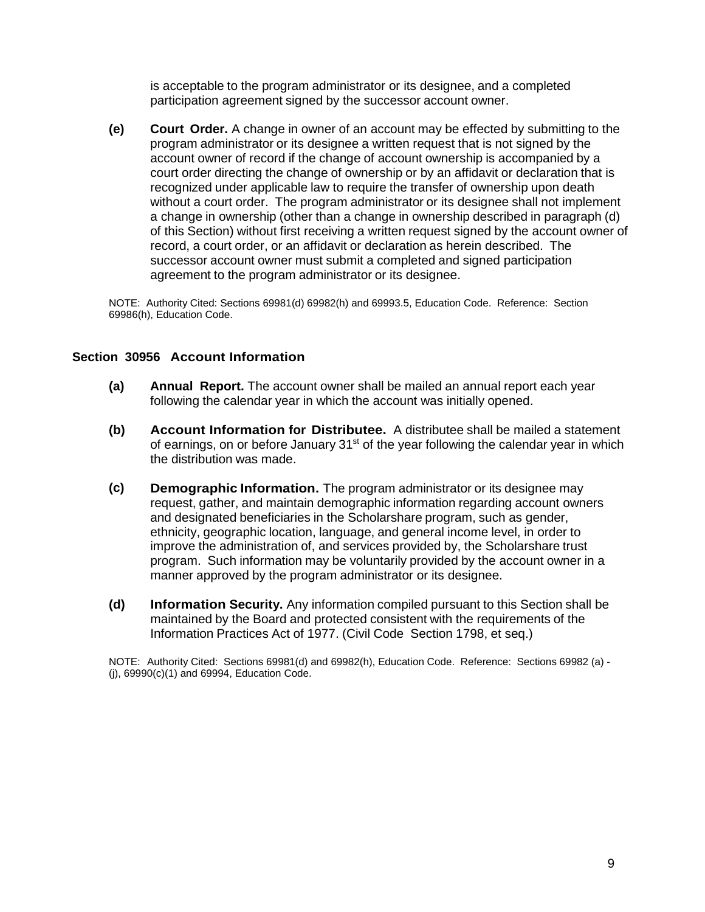is acceptable to the program administrator or its designee, and a completed participation agreement signed by the successor account owner.

**(e) Court Order.** A change in owner of an account may be effected by submitting to the program administrator or its designee a written request that is not signed by the account owner of record if the change of account ownership is accompanied by a court order directing the change of ownership or by an affidavit or declaration that is recognized under applicable law to require the transfer of ownership upon death without a court order. The program administrator or its designee shall not implement a change in ownership (other than a change in ownership described in paragraph (d) of this Section) without first receiving a written request signed by the account owner of record, a court order, or an affidavit or declaration as herein described. The successor account owner must submit a completed and signed participation agreement to the program administrator or its designee.

NOTE: Authority Cited: Sections 69981(d) 69982(h) and 69993.5, Education Code. Reference: Section 69986(h), Education Code.

### **Section 30956 Account Information**

- **(a) Annual Report.** The account owner shall be mailed an annual report each year following the calendar year in which the account was initially opened.
- **(b) Account Information for Distributee.** A distributee shall be mailed a statement of earnings, on or before January  $31<sup>st</sup>$  of the year following the calendar year in which the distribution was made.
- **(c) Demographic Information.** The program administrator or its designee may request, gather, and maintain demographic information regarding account owners and designated beneficiaries in the Scholarshare program, such as gender, ethnicity, geographic location, language, and general income level, in order to improve the administration of, and services provided by, the Scholarshare trust program. Such information may be voluntarily provided by the account owner in a manner approved by the program administrator or its designee.
- **(d) Information Security.** Any information compiled pursuant to this Section shall be maintained by the Board and protected consistent with the requirements of the Information Practices Act of 1977. (Civil Code Section 1798, et seq.)

NOTE: Authority Cited: Sections 69981(d) and 69982(h), Education Code. Reference: Sections 69982 (a) - (j), 69990(c)(1) and 69994, Education Code.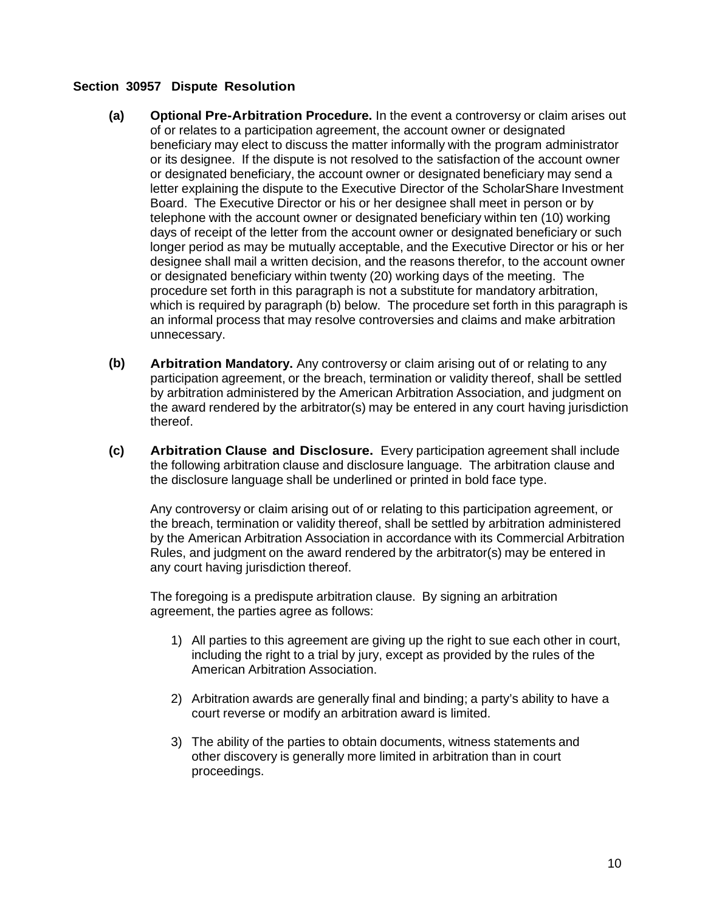## **Section 30957 Dispute Resolution**

- **(a) Optional Pre-Arbitration Procedure.** In the event a controversy or claim arises out of or relates to a participation agreement, the account owner or designated beneficiary may elect to discuss the matter informally with the program administrator or its designee. If the dispute is not resolved to the satisfaction of the account owner or designated beneficiary, the account owner or designated beneficiary may send a letter explaining the dispute to the Executive Director of the ScholarShare Investment Board. The Executive Director or his or her designee shall meet in person or by telephone with the account owner or designated beneficiary within ten (10) working days of receipt of the letter from the account owner or designated beneficiary or such longer period as may be mutually acceptable, and the Executive Director or his or her designee shall mail a written decision, and the reasons therefor, to the account owner or designated beneficiary within twenty (20) working days of the meeting. The procedure set forth in this paragraph is not a substitute for mandatory arbitration, which is required by paragraph (b) below. The procedure set forth in this paragraph is an informal process that may resolve controversies and claims and make arbitration unnecessary.
- **(b) Arbitration Mandatory.** Any controversy or claim arising out of or relating to any participation agreement, or the breach, termination or validity thereof, shall be settled by arbitration administered by the American Arbitration Association, and judgment on the award rendered by the arbitrator(s) may be entered in any court having jurisdiction thereof.
- **(c) Arbitration Clause and Disclosure.** Every participation agreement shall include the following arbitration clause and disclosure language. The arbitration clause and the disclosure language shall be underlined or printed in bold face type.

Any controversy or claim arising out of or relating to this participation agreement, or the breach, termination or validity thereof, shall be settled by arbitration administered by the American Arbitration Association in accordance with its Commercial Arbitration Rules, and judgment on the award rendered by the arbitrator(s) may be entered in any court having jurisdiction thereof.

The foregoing is a predispute arbitration clause. By signing an arbitration agreement, the parties agree as follows:

- 1) All parties to this agreement are giving up the right to sue each other in court, including the right to a trial by jury, except as provided by the rules of the American Arbitration Association.
- 2) Arbitration awards are generally final and binding; a party's ability to have a court reverse or modify an arbitration award is limited.
- 3) The ability of the parties to obtain documents, witness statements and other discovery is generally more limited in arbitration than in court proceedings.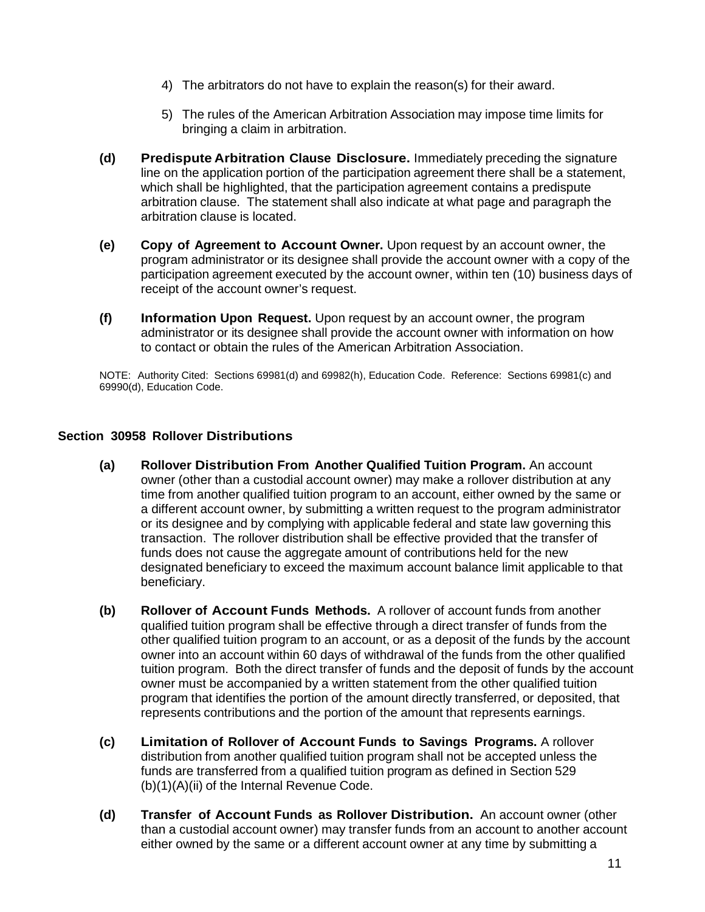- 4) The arbitrators do not have to explain the reason(s) for their award.
- 5) The rules of the American Arbitration Association may impose time limits for bringing a claim in arbitration.
- **(d) Predispute Arbitration Clause Disclosure.** Immediately preceding the signature line on the application portion of the participation agreement there shall be a statement, which shall be highlighted, that the participation agreement contains a predispute arbitration clause. The statement shall also indicate at what page and paragraph the arbitration clause is located.
- **(e) Copy of Agreement to Account Owner.** Upon request by an account owner, the program administrator or its designee shall provide the account owner with a copy of the participation agreement executed by the account owner, within ten (10) business days of receipt of the account owner's request.
- **(f) Information Upon Request.** Upon request by an account owner, the program administrator or its designee shall provide the account owner with information on how to contact or obtain the rules of the American Arbitration Association.

NOTE: Authority Cited: Sections 69981(d) and 69982(h), Education Code. Reference: Sections 69981(c) and 69990(d), Education Code.

# **Section 30958 Rollover Distributions**

- **(a) Rollover Distribution From Another Qualified Tuition Program.** An account owner (other than a custodial account owner) may make a rollover distribution at any time from another qualified tuition program to an account, either owned by the same or a different account owner, by submitting a written request to the program administrator or its designee and by complying with applicable federal and state law governing this transaction. The rollover distribution shall be effective provided that the transfer of funds does not cause the aggregate amount of contributions held for the new designated beneficiary to exceed the maximum account balance limit applicable to that beneficiary.
- **(b) Rollover of Account Funds Methods.** A rollover of account funds from another qualified tuition program shall be effective through a direct transfer of funds from the other qualified tuition program to an account, or as a deposit of the funds by the account owner into an account within 60 days of withdrawal of the funds from the other qualified tuition program. Both the direct transfer of funds and the deposit of funds by the account owner must be accompanied by a written statement from the other qualified tuition program that identifies the portion of the amount directly transferred, or deposited, that represents contributions and the portion of the amount that represents earnings.
- **(c) Limitation of Rollover of Account Funds to Savings Programs.** A rollover distribution from another qualified tuition program shall not be accepted unless the funds are transferred from a qualified tuition program as defined in Section 529 (b)(1)(A)(ii) of the Internal Revenue Code.
- **(d) Transfer of Account Funds as Rollover Distribution.** An account owner (other than a custodial account owner) may transfer funds from an account to another account either owned by the same or a different account owner at any time by submitting a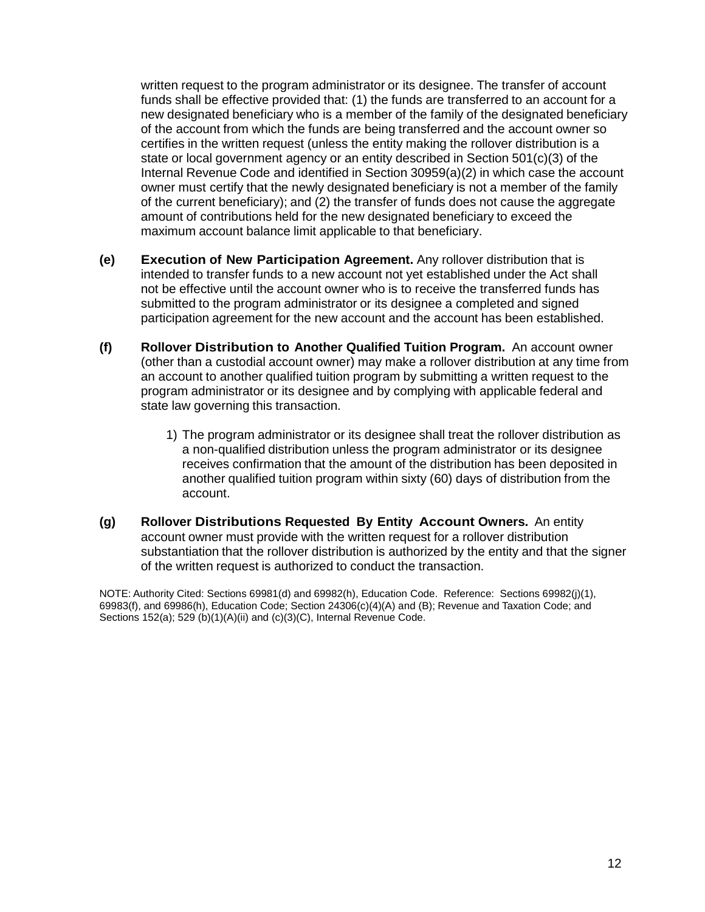written request to the program administrator or its designee. The transfer of account funds shall be effective provided that: (1) the funds are transferred to an account for a new designated beneficiary who is a member of the family of the designated beneficiary of the account from which the funds are being transferred and the account owner so certifies in the written request (unless the entity making the rollover distribution is a state or local government agency or an entity described in Section 501(c)(3) of the Internal Revenue Code and identified in Section 30959(a)(2) in which case the account owner must certify that the newly designated beneficiary is not a member of the family of the current beneficiary); and (2) the transfer of funds does not cause the aggregate amount of contributions held for the new designated beneficiary to exceed the maximum account balance limit applicable to that beneficiary.

- **(e) Execution of New Participation Agreement.** Any rollover distribution that is intended to transfer funds to a new account not yet established under the Act shall not be effective until the account owner who is to receive the transferred funds has submitted to the program administrator or its designee a completed and signed participation agreement for the new account and the account has been established.
- **(f) Rollover Distribution to Another Qualified Tuition Program.** An account owner (other than a custodial account owner) may make a rollover distribution at any time from an account to another qualified tuition program by submitting a written request to the program administrator or its designee and by complying with applicable federal and state law governing this transaction.
	- 1) The program administrator or its designee shall treat the rollover distribution as a non-qualified distribution unless the program administrator or its designee receives confirmation that the amount of the distribution has been deposited in another qualified tuition program within sixty (60) days of distribution from the account.
- **(g) Rollover Distributions Requested By Entity Account Owners.** An entity account owner must provide with the written request for a rollover distribution substantiation that the rollover distribution is authorized by the entity and that the signer of the written request is authorized to conduct the transaction.

NOTE: Authority Cited: Sections 69981(d) and 69982(h), Education Code. Reference: Sections 69982(j)(1), 69983(f), and 69986(h), Education Code; Section 24306(c)(4)(A) and (B); Revenue and Taxation Code; and Sections 152(a); 529 (b)(1)(A)(ii) and (c)(3)(C), Internal Revenue Code.